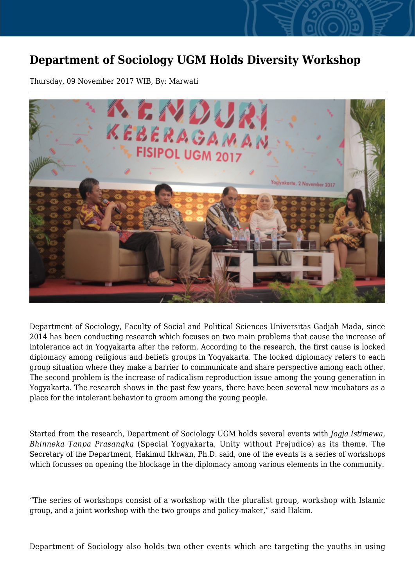## **Department of Sociology UGM Holds Diversity Workshop**

Thursday, 09 November 2017 WIB, By: Marwati



Department of Sociology, Faculty of Social and Political Sciences Universitas Gadjah Mada, since 2014 has been conducting research which focuses on two main problems that cause the increase of intolerance act in Yogyakarta after the reform. According to the research, the first cause is locked diplomacy among religious and beliefs groups in Yogyakarta. The locked diplomacy refers to each group situation where they make a barrier to communicate and share perspective among each other. The second problem is the increase of radicalism reproduction issue among the young generation in Yogyakarta. The research shows in the past few years, there have been several new incubators as a place for the intolerant behavior to groom among the young people.

Started from the research, Department of Sociology UGM holds several events with *Jogja Istimewa, Bhinneka Tanpa Prasangka* (Special Yogyakarta, Unity without Prejudice) as its theme. The Secretary of the Department, Hakimul Ikhwan, Ph.D. said, one of the events is a series of workshops which focusses on opening the blockage in the diplomacy among various elements in the community.

"The series of workshops consist of a workshop with the pluralist group, workshop with Islamic group, and a joint workshop with the two groups and policy-maker," said Hakim.

Department of Sociology also holds two other events which are targeting the youths in using